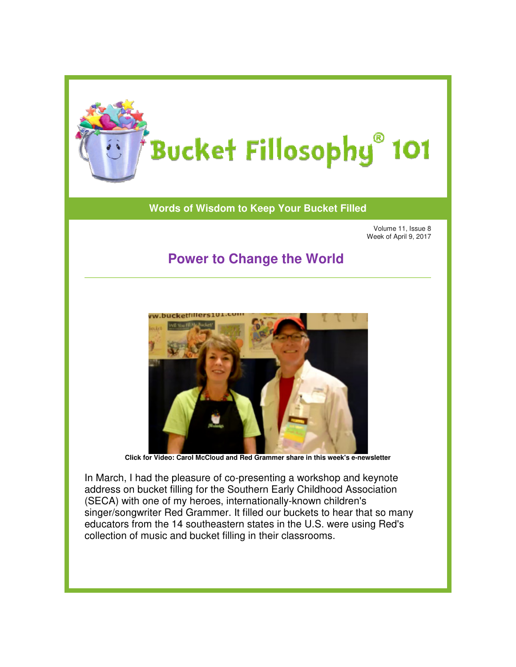

## **Words of Wisdom to Keep Your Bucket Filled of Wisdom to**

Volume 11, Issue 8 Week of April 9, 2017

## **Power to Change the World Change the**



**Click for Video: Carol McCloud and Red Grammer share in this week's e Carol Red in this e-newsletter newsletter**

In March, I had the pleasure of co-presenting a workshop and keynote address on bucket filling for the Southern Early Childhood Association (SECA) with one of my heroes, internationally-known children's singer/songwriter Red Grammer. It filled our buckets to hear that so many educators from the 14 southeastern states in the U.S. were using Red's collection of music and bucket filling in their classrooms. singer/songwriter Red Grammer. It filled our buckets to hear that so<br>educators from the 14 southeastern states in the U.S. were using Re<br>collection of music and bucket filling in their classrooms.